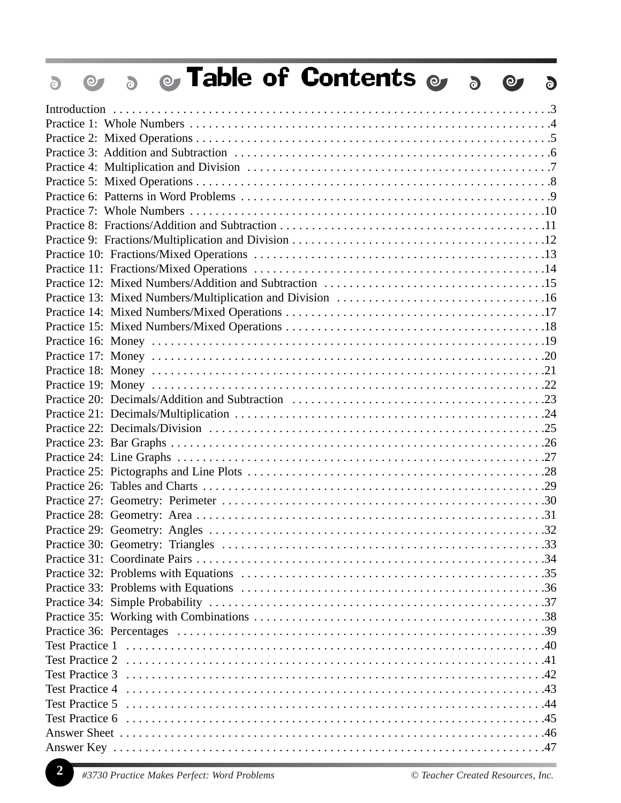| $\delta$     | $\odot$ | $\ddot{\circ}$ |  |  | <b>&amp; Table of Contents &amp;</b> |  | $\delta$ | $\bullet$ | $\delta$ |
|--------------|---------|----------------|--|--|--------------------------------------|--|----------|-----------|----------|
| Introduction |         |                |  |  |                                      |  |          |           |          |
|              |         |                |  |  |                                      |  |          |           |          |
|              |         |                |  |  |                                      |  |          |           |          |
|              |         |                |  |  |                                      |  |          |           |          |
|              |         |                |  |  |                                      |  |          |           |          |
|              |         |                |  |  |                                      |  |          |           |          |
|              |         |                |  |  |                                      |  |          |           |          |
|              |         |                |  |  |                                      |  |          |           |          |
|              |         |                |  |  |                                      |  |          |           |          |
|              |         |                |  |  |                                      |  |          |           |          |
|              |         |                |  |  |                                      |  |          |           |          |
|              |         |                |  |  |                                      |  |          |           |          |
|              |         |                |  |  |                                      |  |          |           |          |
|              |         |                |  |  |                                      |  |          |           |          |
|              |         |                |  |  |                                      |  |          |           |          |
|              |         |                |  |  |                                      |  |          |           |          |
|              |         |                |  |  |                                      |  |          |           |          |
|              |         |                |  |  |                                      |  |          |           |          |
|              |         |                |  |  |                                      |  |          |           |          |
|              |         |                |  |  |                                      |  |          |           |          |
|              |         |                |  |  |                                      |  |          |           |          |
|              |         |                |  |  |                                      |  |          |           |          |
|              |         |                |  |  |                                      |  |          |           |          |
|              |         |                |  |  |                                      |  |          |           |          |
|              |         |                |  |  |                                      |  |          |           |          |
|              |         |                |  |  |                                      |  |          |           |          |
|              |         |                |  |  |                                      |  |          |           |          |
|              |         |                |  |  |                                      |  |          |           |          |
|              |         |                |  |  |                                      |  |          |           |          |
|              |         |                |  |  |                                      |  |          |           |          |
|              |         |                |  |  |                                      |  |          |           |          |
|              |         |                |  |  |                                      |  |          |           |          |
|              |         |                |  |  |                                      |  |          |           |          |
|              |         |                |  |  |                                      |  |          |           |          |
|              |         |                |  |  |                                      |  |          |           |          |
|              |         |                |  |  |                                      |  |          |           |          |
|              |         |                |  |  |                                      |  |          |           |          |
|              |         |                |  |  |                                      |  |          |           |          |
|              |         |                |  |  |                                      |  |          |           |          |
|              |         |                |  |  |                                      |  |          |           |          |
|              |         |                |  |  |                                      |  |          |           |          |
|              |         |                |  |  |                                      |  |          |           |          |
|              |         |                |  |  |                                      |  |          |           |          |
|              |         |                |  |  |                                      |  |          |           |          |
|              |         |                |  |  |                                      |  |          |           |          |
|              |         |                |  |  |                                      |  |          |           |          |

**2**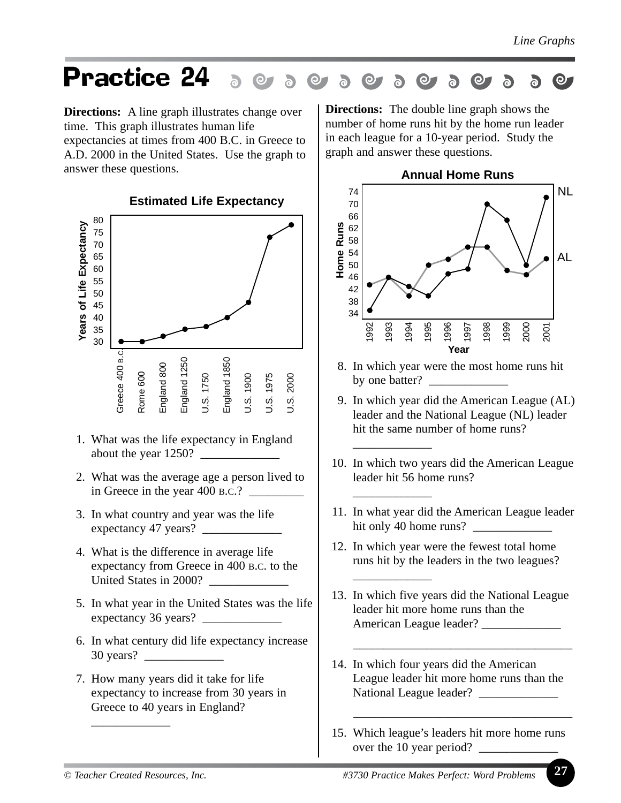## Practice 24  $\odot$  $\odot$  $\delta$  $\bullet$  $\delta$ O J O J බ

**Directions:** A line graph illustrates change over time. This graph illustrates human life

expectancies at times from 400 B.C. in Greece to A.D. 2000 in the United States. Use the graph to answer these questions.



- 1. What was the life expectancy in England about the year 1250?
- 2. What was the average age a person lived to in Greece in the year 400 B.C.?
- 3. In what country and year was the life expectancy 47 years?
- 4. What is the difference in average life expectancy from Greece in 400 B.C. to the United States in 2000?
- 5. In what year in the United States was the life expectancy 36 years?  $\frac{2}{\sqrt{2}}$
- 6. In what century did life expectancy increase 30 years? \_\_\_\_\_\_\_\_\_\_\_\_\_
- 7. How many years did it take for life expectancy to increase from 30 years in Greece to 40 years in England?

**Directions:** The double line graph shows the number of home runs hit by the home run leader in each league for a 10-year period. Study the graph and answer these questions.



- 8. In which year were the most home runs hit by one batter?
- 9. In which year did the American League (AL) leader and the National League (NL) leader hit the same number of home runs?
- 10. In which two years did the American League leader hit 56 home runs?

\_\_\_\_\_\_\_\_\_\_\_\_\_

\_\_\_\_\_\_\_\_\_\_\_\_\_

\_\_\_\_\_\_\_\_\_\_\_\_\_

- 11. In what year did the American League leader hit only 40 home runs?
- 12. In which year were the fewest total home runs hit by the leaders in the two leagues?
- 13. In which five years did the National League leader hit more home runs than the American League leader?

\_\_\_\_\_\_\_\_\_\_\_\_\_\_\_\_\_\_\_\_\_\_\_\_\_\_\_\_\_\_\_\_\_\_\_\_

\_\_\_\_\_\_\_\_\_\_\_\_\_\_\_\_\_\_\_\_\_\_\_\_\_\_\_\_\_\_\_\_\_\_\_\_

- 14. In which four years did the American League leader hit more home runs than the National League leader?
- 15. Which league's leaders hit more home runs over the 10 year period? \_\_\_\_\_\_\_\_\_\_\_\_\_

 $\overline{\phantom{a}}$  , where  $\overline{\phantom{a}}$